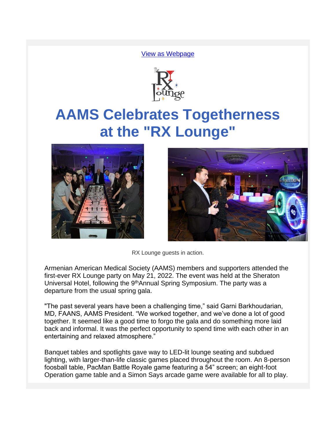[View as Webpage](https://campaignlp.constantcontact.com/em/1103578014903/b3e47881-38f1-4add-8e69-465164b237f6)



# **AAMS Celebrates Togetherness at the "RX Lounge"**





RX Lounge guests in action.

Armenian American Medical Society (AAMS) members and supporters attended the first-ever RX Lounge party on May 21, 2022. The event was held at the Sheraton Universal Hotel, following the 9<sup>th</sup>Annual Spring Symposium. The party was a departure from the usual spring gala.

"The past several years have been a challenging time," said Garni Barkhoudarian, MD, FAANS, AAMS President. "We worked together, and we've done a lot of good together. It seemed like a good time to forgo the gala and do something more laid back and informal. It was the perfect opportunity to spend time with each other in an entertaining and relaxed atmosphere."

Banquet tables and spotlights gave way to LED-lit lounge seating and subdued lighting, with larger-than-life classic games placed throughout the room. An 8-person foosball table, PacMan Battle Royale game featuring a 54" screen; an eight-foot Operation game table and a Simon Says arcade game were available for all to play.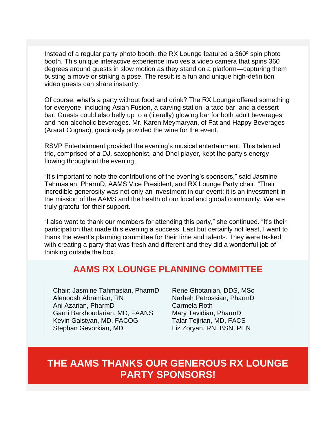Instead of a regular party photo booth, the RX Lounge featured a 360º spin photo booth. This unique interactive experience involves a video camera that spins 360 degrees around guests in slow motion as they stand on a platform—capturing them busting a move or striking a pose. The result is a fun and unique high-definition video guests can share instantly.

Of course, what's a party without food and drink? The RX Lounge offered something for everyone, including Asian Fusion, a carving station, a taco bar, and a dessert bar. Guests could also belly up to a (literally) glowing bar for both adult beverages and non-alcoholic beverages. Mr. Karen Meymaryan, of Fat and Happy Beverages (Ararat Cognac), graciously provided the wine for the event.

RSVP Entertainment provided the evening's musical entertainment. This talented trio, comprised of a DJ, saxophonist, and Dhol player, kept the party's energy flowing throughout the evening.

"It's important to note the contributions of the evening's sponsors," said Jasmine Tahmasian, PharmD, AAMS Vice President, and RX Lounge Party chair. "Their incredible generosity was not only an investment in our event; it is an investment in the mission of the AAMS and the health of our local and global community. We are truly grateful for their support.

"I also want to thank our members for attending this party," she continued. "It's their participation that made this evening a success. Last but certainly not least, I want to thank the event's planning committee for their time and talents. They were tasked with creating a party that was fresh and different and they did a wonderful job of thinking outside the box."

#### **AAMS RX LOUNGE PLANNING COMMITTEE**

Chair: Jasmine Tahmasian, PharmD Alenoosh Abramian, RN Ani Azarian, PharmD Garni Barkhoudarian, MD, FAANS Kevin Galstyan, MD, FACOG Stephan Gevorkian, MD

Rene Ghotanian, DDS, MSc Narbeh Petrossian, PharmD Carmela Roth Mary Tavidian, PharmD Talar Tejirian, MD, FACS Liz Zoryan, RN, BSN, PHN

## **THE AAMS THANKS OUR GENEROUS RX LOUNGE PARTY SPONSORS!**